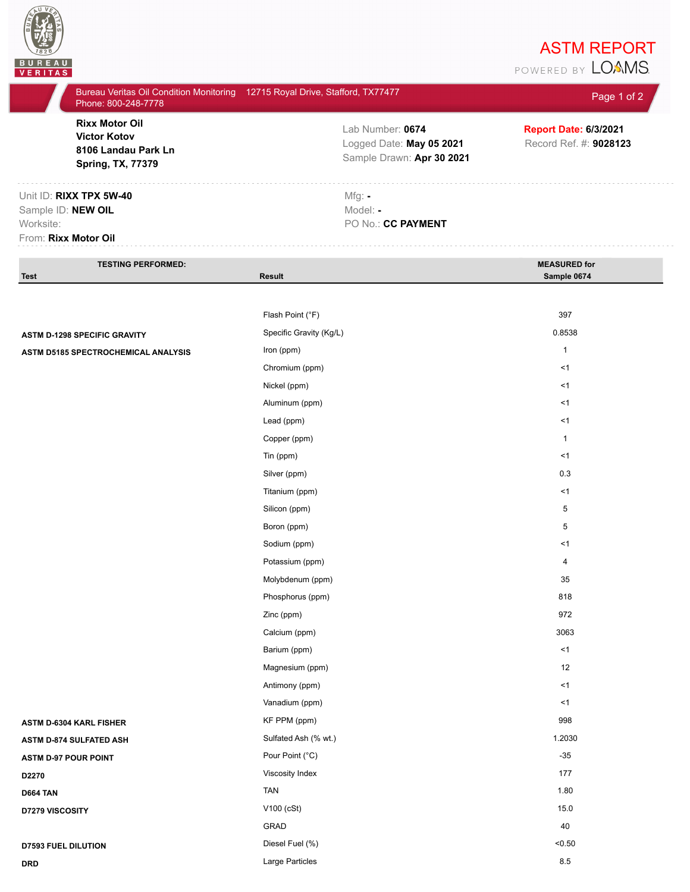

## **ASTM REPORT**<br>POWERED BY **LOAMS**

| Phone: 800-248-7778                                                                             | Bureau Veritas Oil Condition Monitoring 12715 Royal Drive, Stafford, TX77477 | Page 1 of 2                                            |
|-------------------------------------------------------------------------------------------------|------------------------------------------------------------------------------|--------------------------------------------------------|
| <b>Rixx Motor Oil</b><br><b>Victor Kotov</b><br>8106 Landau Park Ln<br><b>Spring, TX, 77379</b> | Lab Number: 0674<br>Logged Date: May 05 2021<br>Sample Drawn: Apr 30 2021    | <b>Report Date: 6/3/2021</b><br>Record Ref. #: 9028123 |
| Unit ID: RIXX TPX 5W-40<br>Sample ID: NEW OIL<br>Worksite:<br>From: Rixx Motor Oil              | $Mfg: -$<br>Model: -<br>PO No.: CC PAYMENT                                   |                                                        |
| <b>TESTING PERFORMED:</b>                                                                       |                                                                              | <b>MEASURED for</b>                                    |
| <b>Test</b>                                                                                     | <b>Result</b>                                                                | Sample 0674                                            |
|                                                                                                 |                                                                              |                                                        |
|                                                                                                 | Flash Point (°F)                                                             | 397                                                    |
| <b>ASTM D-1298 SPECIFIC GRAVITY</b>                                                             | Specific Gravity (Kg/L)                                                      | 0.8538                                                 |
| ASTM D5185 SPECTROCHEMICAL ANALYSIS                                                             | Iron (ppm)                                                                   | $\mathbf{1}$                                           |
|                                                                                                 | Chromium (ppm)                                                               | < 1                                                    |
|                                                                                                 | Nickel (ppm)                                                                 | < 1                                                    |
|                                                                                                 | Aluminum (ppm)                                                               | <1                                                     |
|                                                                                                 | Lead (ppm)                                                                   | $<$ 1                                                  |
|                                                                                                 | Copper (ppm)                                                                 | $\mathbf{1}$                                           |
|                                                                                                 | Tin (ppm)                                                                    | < 1                                                    |
|                                                                                                 | Silver (ppm)                                                                 | 0.3                                                    |
|                                                                                                 | Titanium (ppm)                                                               | $<$ 1                                                  |
|                                                                                                 | Silicon (ppm)                                                                | 5                                                      |
|                                                                                                 | Boron (ppm)                                                                  | 5                                                      |
|                                                                                                 | Sodium (ppm)                                                                 | $<$ 1                                                  |
|                                                                                                 | Potassium (ppm)                                                              | $\overline{4}$                                         |
|                                                                                                 | Molybdenum (ppm)                                                             | 35                                                     |
|                                                                                                 | Phosphorus (ppm)                                                             | 818                                                    |
|                                                                                                 | Zinc (ppm)                                                                   | 972                                                    |
|                                                                                                 | Calcium (ppm)                                                                | 3063                                                   |
|                                                                                                 | Barium (ppm)                                                                 | < 1                                                    |
|                                                                                                 | Magnesium (ppm)                                                              | 12                                                     |
|                                                                                                 | Antimony (ppm)                                                               | < 1                                                    |
|                                                                                                 | Vanadium (ppm)                                                               | $<$ 1                                                  |
| ASTM D-6304 KARL FISHER                                                                         | KF PPM (ppm)                                                                 | 998                                                    |
| ASTM D-874 SULFATED ASH                                                                         | Sulfated Ash (% wt.)                                                         | 1.2030                                                 |
| <b>ASTM D-97 POUR POINT</b>                                                                     | Pour Point (°C)                                                              | $-35$                                                  |
| D2270                                                                                           | Viscosity Index                                                              | 177                                                    |

GRAD 40

**D664 TAN** TAN 1.80

**D7279 VISCOSITY** 15.0

**D7593 FUEL DILUTION** <0.50

**DRD** Large Particles 8.5